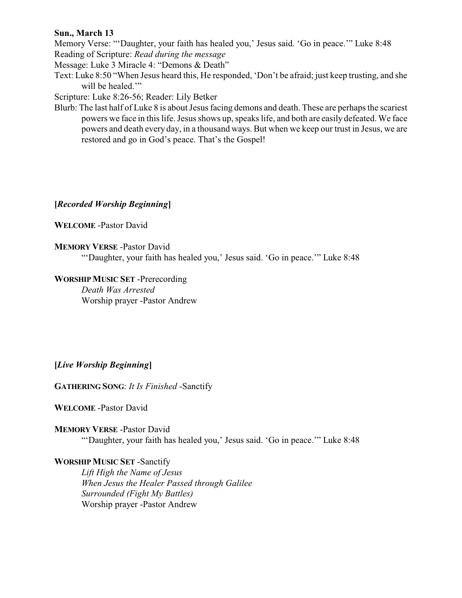## **Sun., March 13**

Memory Verse: "'Daughter, your faith has healed you,' Jesus said. 'Go in peace.'" Luke 8:48 Reading of Scripture: *Read during the message*

Message: Luke 3 Miracle 4: "Demons & Death"

Text: Luke 8:50 "When Jesus heard this, He responded, 'Don't be afraid; just keep trusting, and she will be healed."

Scripture: Luke 8:26-56; Reader: Lily Betker

Blurb: The last half of Luke 8 is about Jesus facing demons and death. These are perhaps the scariest powers we face in this life. Jesus shows up, speaks life, and both are easily defeated. We face powers and death every day, in a thousand ways. But when we keep our trust in Jesus, we are restored and go in God's peace. That's the Gospel!

# **[***Recorded Worship Beginning***]**

## **WELCOME** -Pastor David

## **MEMORY VERSE** -Pastor David

"'Daughter, your faith has healed you,' Jesus said. 'Go in peace.'" Luke 8:48

# **WORSHIP MUSIC SET** -Prerecording

*Death Was Arrested* Worship prayer -Pastor Andrew

## **[***Live Worship Beginning***]**

**GATHERING SONG**: *It Is Finished* -Sanctify

**WELCOME** -Pastor David

**MEMORY VERSE** -Pastor David "'Daughter, your faith has healed you,' Jesus said. 'Go in peace.'" Luke 8:48

# **WORSHIP MUSIC SET** -Sanctify

*Lift High the Name of Jesus When Jesus the Healer Passed through Galilee Surrounded (Fight My Battles)* Worship prayer -Pastor Andrew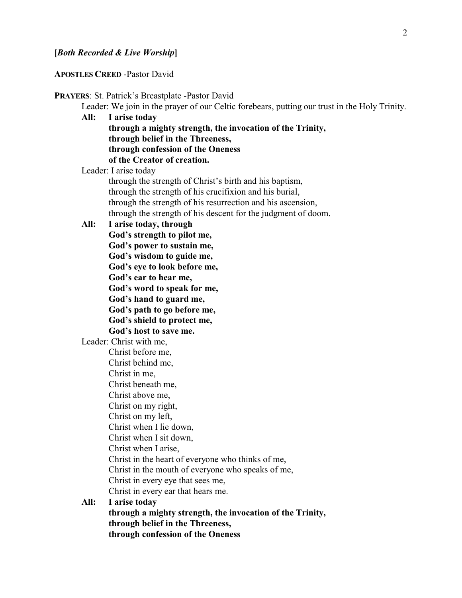**APOSTLES CREED** -Pastor David

**PRAYERS**: St. Patrick's Breastplate -Pastor David Leader: We join in the prayer of our Celtic forebears, putting our trust in the Holy Trinity. **All: I arise today through a mighty strength, the invocation of the Trinity, through belief in the Threeness, through confession of the Oneness of the Creator of creation.** Leader: I arise today through the strength of Christ's birth and his baptism,

through the strength of his crucifixion and his burial, through the strength of his resurrection and his ascension, through the strength of his descent for the judgment of doom.

**All: I arise today, through**

**God's strength to pilot me, God's power to sustain me, God's wisdom to guide me, God's eye to look before me, God's ear to hear me, God's word to speak for me, God's hand to guard me, God's path to go before me, God's shield to protect me, God's host to save me.**

Leader: Christ with me,

Christ before me,

- Christ behind me,
- Christ in me,

Christ beneath me,

- Christ above me,
- Christ on my right,
- Christ on my left,
- Christ when I lie down, Christ when I sit down,
- 
- Christ when I arise,
- Christ in the heart of everyone who thinks of me,
- Christ in the mouth of everyone who speaks of me,
- Christ in every eye that sees me,
- Christ in every ear that hears me.

# **All: I arise today**

**through a mighty strength, the invocation of the Trinity, through belief in the Threeness, through confession of the Oneness**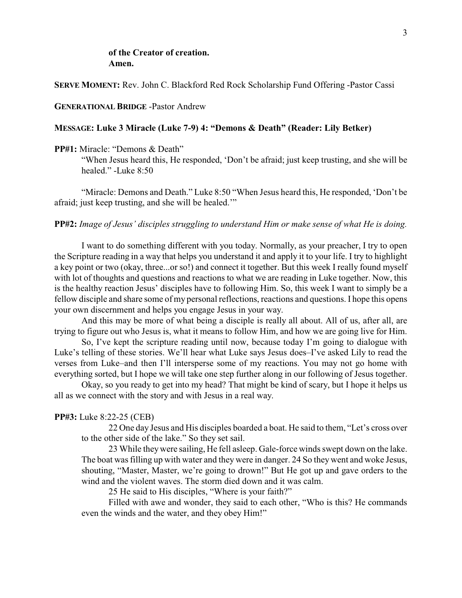## **of the Creator of creation. Amen.**

### **SERVE MOMENT:** Rev. John C. Blackford Red Rock Scholarship Fund Offering -Pastor Cassi

### **GENERATIONAL BRIDGE** -Pastor Andrew

### **MESSAGE: Luke 3 Miracle (Luke 7-9) 4: "Demons & Death" (Reader: Lily Betker)**

**PP#1:** Miracle: "Demons & Death"

"When Jesus heard this, He responded, 'Don't be afraid; just keep trusting, and she will be healed." -Luke 8:50

"Miracle: Demons and Death." Luke 8:50 "When Jesus heard this, He responded, 'Don't be afraid; just keep trusting, and she will be healed.'"

### **PP#2:** *Image of Jesus' disciples struggling to understand Him or make sense of what He is doing.*

I want to do something different with you today. Normally, as your preacher, I try to open the Scripture reading in a way that helps you understand it and apply it to your life. I try to highlight a key point or two (okay, three...or so!) and connect it together. But this week I really found myself with lot of thoughts and questions and reactions to what we are reading in Luke together. Now, this is the healthy reaction Jesus' disciples have to following Him. So, this week I want to simply be a fellow disciple and share some of my personal reflections, reactions and questions. I hope this opens your own discernment and helps you engage Jesus in your way.

And this may be more of what being a disciple is really all about. All of us, after all, are trying to figure out who Jesus is, what it means to follow Him, and how we are going live for Him.

So, I've kept the scripture reading until now, because today I'm going to dialogue with Luke's telling of these stories. We'll hear what Luke says Jesus does–I've asked Lily to read the verses from Luke–and then I'll intersperse some of my reactions. You may not go home with everything sorted, but I hope we will take one step further along in our following of Jesus together.

Okay, so you ready to get into my head? That might be kind of scary, but I hope it helps us all as we connect with the story and with Jesus in a real way.

#### **PP#3:** Luke 8:22-25 (CEB)

22 One day Jesus and His disciples boarded a boat. He said to them, "Let's cross over to the other side of the lake." So they set sail.

23 While theywere sailing, He fell asleep. Gale-force winds swept down on the lake. The boat was filling up with water and they were in danger. 24 So they went and woke Jesus, shouting, "Master, Master, we're going to drown!" But He got up and gave orders to the wind and the violent waves. The storm died down and it was calm.

25 He said to His disciples, "Where is your faith?"

Filled with awe and wonder, they said to each other, "Who is this? He commands even the winds and the water, and they obey Him!"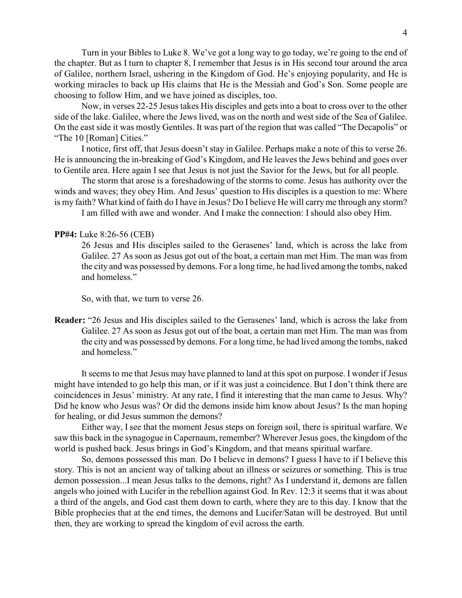Turn in your Bibles to Luke 8. We've got a long way to go today, we're going to the end of the chapter. But as I turn to chapter 8, I remember that Jesus is in His second tour around the area of Galilee, northern Israel, ushering in the Kingdom of God. He's enjoying popularity, and He is working miracles to back up His claims that He is the Messiah and God's Son. Some people are choosing to follow Him, and we have joined as disciples, too.

Now, in verses 22-25 Jesus takes His disciples and gets into a boat to cross over to the other side of the lake. Galilee, where the Jews lived, was on the north and west side of the Sea of Galilee. On the east side it was mostly Gentiles. It was part of the region that was called "The Decapolis" or "The 10 [Roman] Cities."

I notice, first off, that Jesus doesn't stay in Galilee. Perhaps make a note of this to verse 26. He is announcing the in-breaking of God's Kingdom, and He leaves the Jews behind and goes over to Gentile area. Here again I see that Jesus is not just the Savior for the Jews, but for all people.

The storm that arose is a foreshadowing of the storms to come. Jesus has authority over the winds and waves; they obey Him. And Jesus' question to His disciples is a question to me: Where is my faith? What kind of faith do I have in Jesus? Do I believe He will carryme through any storm?

I am filled with awe and wonder. And I make the connection: I should also obey Him.

### **PP#4:** Luke 8:26-56 (CEB)

26 Jesus and His disciples sailed to the Gerasenes' land, which is across the lake from Galilee. 27 As soon as Jesus got out of the boat, a certain man met Him. The man was from the city and was possessed by demons. For a long time, he had lived among the tombs, naked and homeless."

So, with that, we turn to verse 26.

**Reader:** "26 Jesus and His disciples sailed to the Gerasenes' land, which is across the lake from Galilee. 27 As soon as Jesus got out of the boat, a certain man met Him. The man was from the city and was possessed by demons. For a long time, he had lived among the tombs, naked and homeless."

It seems to me that Jesus may have planned to land at this spot on purpose. I wonder if Jesus might have intended to go help this man, or if it was just a coincidence. But I don't think there are coincidences in Jesus' ministry. At any rate, I find it interesting that the man came to Jesus. Why? Did he know who Jesus was? Or did the demons inside him know about Jesus? Is the man hoping for healing, or did Jesus summon the demons?

Either way, I see that the moment Jesus steps on foreign soil, there is spiritual warfare. We saw this back in the synagogue in Capernaum, remember? Wherever Jesus goes, the kingdom of the world is pushed back. Jesus brings in God's Kingdom, and that means spiritual warfare.

So, demons possessed this man. Do I believe in demons? I guess I have to if I believe this story. This is not an ancient way of talking about an illness or seizures or something. This is true demon possession...I mean Jesus talks to the demons, right? As I understand it, demons are fallen angels who joined with Lucifer in the rebellion against God. In Rev. 12:3 it seems that it was about a third of the angels, and God cast them down to earth, where they are to this day. I know that the Bible prophecies that at the end times, the demons and Lucifer/Satan will be destroyed. But until then, they are working to spread the kingdom of evil across the earth.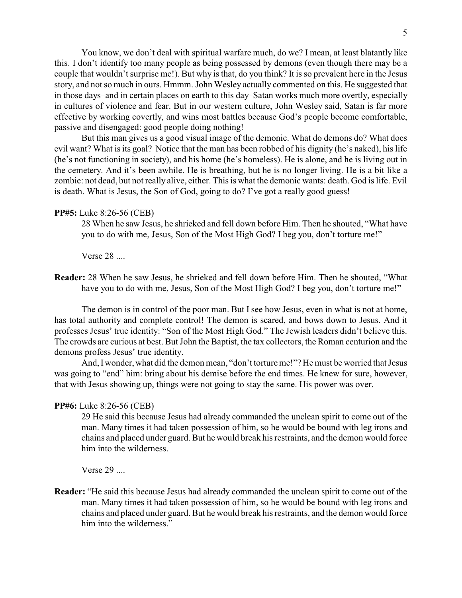You know, we don't deal with spiritual warfare much, do we? I mean, at least blatantly like this. I don't identify too many people as being possessed by demons (even though there may be a couple that wouldn't surprise me!). But why is that, do you think? It is so prevalent here in the Jesus story, and not so much in ours. Hmmm. John Wesley actually commented on this. He suggested that in those days–and in certain places on earth to this day–Satan works much more overtly, especially in cultures of violence and fear. But in our western culture, John Wesley said, Satan is far more effective by working covertly, and wins most battles because God's people become comfortable, passive and disengaged: good people doing nothing!

But this man gives us a good visual image of the demonic. What do demons do? What does evil want? What is its goal? Notice that the man has been robbed of his dignity (he's naked), his life (he's not functioning in society), and his home (he's homeless). He is alone, and he is living out in the cemetery. And it's been awhile. He is breathing, but he is no longer living. He is a bit like a zombie: not dead, but not really alive, either. This is what the demonic wants: death. God is life. Evil is death. What is Jesus, the Son of God, going to do? I've got a really good guess!

### **PP#5:** Luke 8:26-56 (CEB)

28 When he saw Jesus, he shrieked and fell down before Him. Then he shouted, "What have you to do with me, Jesus, Son of the Most High God? I beg you, don't torture me!"

Verse 28 ....

**Reader:** 28 When he saw Jesus, he shrieked and fell down before Him. Then he shouted, "What have you to do with me, Jesus, Son of the Most High God? I beg you, don't torture me!"

The demon is in control of the poor man. But I see how Jesus, even in what is not at home, has total authority and complete control! The demon is scared, and bows down to Jesus. And it professes Jesus' true identity: "Son of the Most High God." The Jewish leaders didn't believe this. The crowds are curious at best. But John the Baptist, the tax collectors, the Roman centurion and the demons profess Jesus' true identity.

And, Iwonder, what did the demon mean, "don't torture me!"? He must be worried that Jesus was going to "end" him: bring about his demise before the end times. He knew for sure, however, that with Jesus showing up, things were not going to stay the same. His power was over.

#### **PP#6:** Luke 8:26-56 (CEB)

29 He said this because Jesus had already commanded the unclean spirit to come out of the man. Many times it had taken possession of him, so he would be bound with leg irons and chains and placed under guard. But he would break his restraints, and the demon would force him into the wilderness.

Verse 29 ....

**Reader:** "He said this because Jesus had already commanded the unclean spirit to come out of the man. Many times it had taken possession of him, so he would be bound with leg irons and chains and placed under guard. But he would break his restraints, and the demon would force him into the wilderness."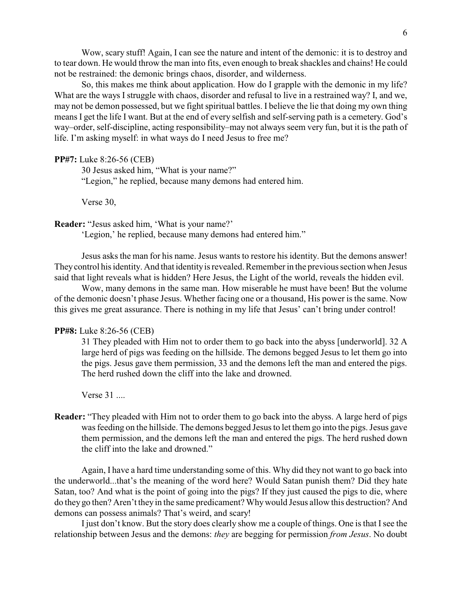Wow, scary stuff! Again, I can see the nature and intent of the demonic: it is to destroy and to tear down. He would throw the man into fits, even enough to break shackles and chains! He could not be restrained: the demonic brings chaos, disorder, and wilderness.

So, this makes me think about application. How do I grapple with the demonic in my life? What are the ways I struggle with chaos, disorder and refusal to live in a restrained way? I, and we, may not be demon possessed, but we fight spiritual battles. I believe the lie that doing my own thing means I get the life I want. But at the end of every selfish and self-serving path is a cemetery. God's way–order, self-discipline, acting responsibility–may not always seem very fun, but it is the path of life. I'm asking myself: in what ways do I need Jesus to free me?

### **PP#7:** Luke 8:26-56 (CEB)

30 Jesus asked him, "What is your name?" "Legion," he replied, because many demons had entered him.

Verse 30,

**Reader:** "Jesus asked him, 'What is your name?'

'Legion,' he replied, because many demons had entered him."

Jesus asks the man for his name. Jesus wants to restore his identity. But the demons answer! Theycontrol his identity. And that identityis revealed. Remember in the previous section when Jesus said that light reveals what is hidden? Here Jesus, the Light of the world, reveals the hidden evil.

Wow, many demons in the same man. How miserable he must have been! But the volume of the demonic doesn't phase Jesus. Whether facing one or a thousand, His power is the same. Now this gives me great assurance. There is nothing in my life that Jesus' can't bring under control!

## **PP#8:** Luke 8:26-56 (CEB)

31 They pleaded with Him not to order them to go back into the abyss [underworld]. 32 A large herd of pigs was feeding on the hillside. The demons begged Jesus to let them go into the pigs. Jesus gave them permission, 33 and the demons left the man and entered the pigs. The herd rushed down the cliff into the lake and drowned.

Verse 31 ....

**Reader:** "They pleaded with Him not to order them to go back into the abyss. A large herd of pigs was feeding on the hillside. The demons begged Jesus to let them go into the pigs. Jesus gave them permission, and the demons left the man and entered the pigs. The herd rushed down the cliff into the lake and drowned."

Again, I have a hard time understanding some of this. Why did they not want to go back into the underworld...that's the meaning of the word here? Would Satan punish them? Did they hate Satan, too? And what is the point of going into the pigs? If they just caused the pigs to die, where do they go then? Aren't they in the same predicament? Whywould Jesus allow this destruction? And demons can possess animals? That's weird, and scary!

I just don't know. But the story does clearly show me a couple of things. One is that I see the relationship between Jesus and the demons: *they* are begging for permission *from Jesus*. No doubt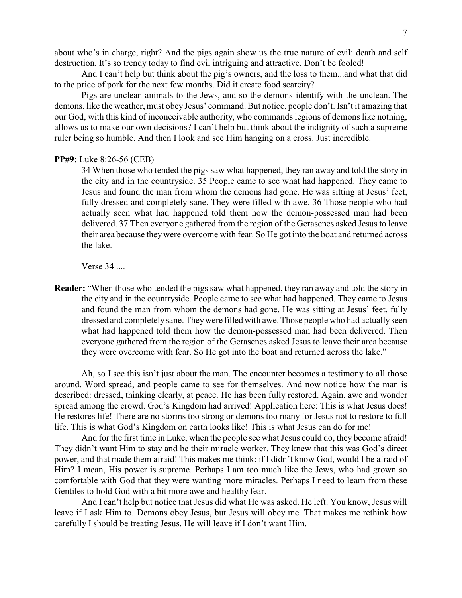about who's in charge, right? And the pigs again show us the true nature of evil: death and self destruction. It's so trendy today to find evil intriguing and attractive. Don't be fooled!

And I can't help but think about the pig's owners, and the loss to them...and what that did to the price of pork for the next few months. Did it create food scarcity?

Pigs are unclean animals to the Jews, and so the demons identify with the unclean. The demons, like the weather, must obey Jesus' command. But notice, people don't. Isn't it amazing that our God, with this kind of inconceivable authority, who commands legions of demons like nothing, allows us to make our own decisions? I can't help but think about the indignity of such a supreme ruler being so humble. And then I look and see Him hanging on a cross. Just incredible.

### **PP#9:** Luke 8:26-56 (CEB)

34 When those who tended the pigs saw what happened, they ran away and told the story in the city and in the countryside. 35 People came to see what had happened. They came to Jesus and found the man from whom the demons had gone. He was sitting at Jesus' feet, fully dressed and completely sane. They were filled with awe. 36 Those people who had actually seen what had happened told them how the demon-possessed man had been delivered. 37 Then everyone gathered from the region of the Gerasenes asked Jesus to leave their area because they were overcome with fear. So He got into the boat and returned across the lake.

Verse 34 ....

**Reader:** "When those who tended the pigs saw what happened, they ran away and told the story in the city and in the countryside. People came to see what had happened. They came to Jesus and found the man from whom the demons had gone. He was sitting at Jesus' feet, fully dressed and completely sane. Theywere filled with awe. Those people who had actually seen what had happened told them how the demon-possessed man had been delivered. Then everyone gathered from the region of the Gerasenes asked Jesus to leave their area because they were overcome with fear. So He got into the boat and returned across the lake."

Ah, so I see this isn't just about the man. The encounter becomes a testimony to all those around. Word spread, and people came to see for themselves. And now notice how the man is described: dressed, thinking clearly, at peace. He has been fully restored. Again, awe and wonder spread among the crowd. God's Kingdom had arrived! Application here: This is what Jesus does! He restores life! There are no storms too strong or demons too many for Jesus not to restore to full life. This is what God's Kingdom on earth looks like! This is what Jesus can do for me!

And for the first time in Luke, when the people see what Jesus could do, they become afraid! They didn't want Him to stay and be their miracle worker. They knew that this was God's direct power, and that made them afraid! This makes me think: if I didn't know God, would I be afraid of Him? I mean, His power is supreme. Perhaps I am too much like the Jews, who had grown so comfortable with God that they were wanting more miracles. Perhaps I need to learn from these Gentiles to hold God with a bit more awe and healthy fear.

And I can't help but notice that Jesus did what He was asked. He left. You know, Jesus will leave if I ask Him to. Demons obey Jesus, but Jesus will obey me. That makes me rethink how carefully I should be treating Jesus. He will leave if I don't want Him.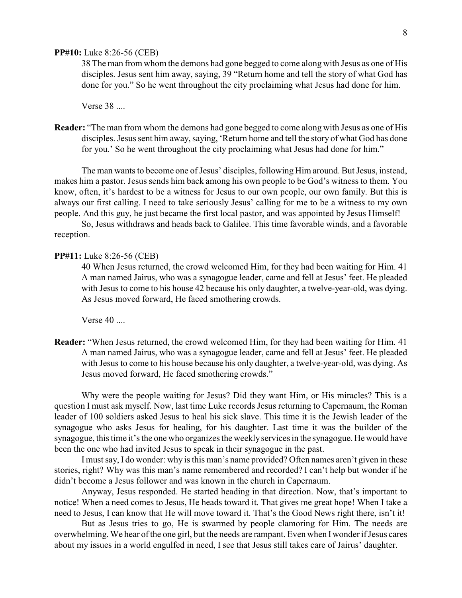### **PP#10:** Luke 8:26-56 (CEB)

38 The man from whom the demons had gone begged to come along with Jesus as one of His disciples. Jesus sent him away, saying, 39 "Return home and tell the story of what God has done for you." So he went throughout the city proclaiming what Jesus had done for him.

Verse 38 ....

**Reader:** "The man from whom the demons had gone begged to come along with Jesus as one of His disciples. Jesus sent him away, saying, 'Return home and tell the story of what God has done for you.' So he went throughout the city proclaiming what Jesus had done for him."

The man wants to become one of Jesus' disciples, following Him around. But Jesus, instead, makes him a pastor. Jesus sends him back among his own people to be God's witness to them. You know, often, it's hardest to be a witness for Jesus to our own people, our own family. But this is always our first calling. I need to take seriously Jesus' calling for me to be a witness to my own people. And this guy, he just became the first local pastor, and was appointed by Jesus Himself!

So, Jesus withdraws and heads back to Galilee. This time favorable winds, and a favorable reception.

#### **PP#11:** Luke 8:26-56 (CEB)

40 When Jesus returned, the crowd welcomed Him, for they had been waiting for Him. 41 A man named Jairus, who was a synagogue leader, came and fell at Jesus' feet. He pleaded with Jesus to come to his house 42 because his only daughter, a twelve-year-old, was dying. As Jesus moved forward, He faced smothering crowds.

Verse 40 ....

**Reader:** "When Jesus returned, the crowd welcomed Him, for they had been waiting for Him. 41 A man named Jairus, who was a synagogue leader, came and fell at Jesus' feet. He pleaded with Jesus to come to his house because his only daughter, a twelve-year-old, was dying. As Jesus moved forward, He faced smothering crowds."

Why were the people waiting for Jesus? Did they want Him, or His miracles? This is a question I must ask myself. Now, last time Luke records Jesus returning to Capernaum, the Roman leader of 100 soldiers asked Jesus to heal his sick slave. This time it is the Jewish leader of the synagogue who asks Jesus for healing, for his daughter. Last time it was the builder of the synagogue, this time it's the one who organizes the weeklyservices in the synagogue. He would have been the one who had invited Jesus to speak in their synagogue in the past.

I must say, I do wonder: why is this man's name provided? Often names aren't given in these stories, right? Why was this man's name remembered and recorded? I can't help but wonder if he didn't become a Jesus follower and was known in the church in Capernaum.

Anyway, Jesus responded. He started heading in that direction. Now, that's important to notice! When a need comes to Jesus, He heads toward it. That gives me great hope! When I take a need to Jesus, I can know that He will move toward it. That's the Good News right there, isn't it!

But as Jesus tries to go, He is swarmed by people clamoring for Him. The needs are overwhelming. We hear of the one girl, but the needs are rampant. Even when Iwonder if Jesus cares about my issues in a world engulfed in need, I see that Jesus still takes care of Jairus' daughter.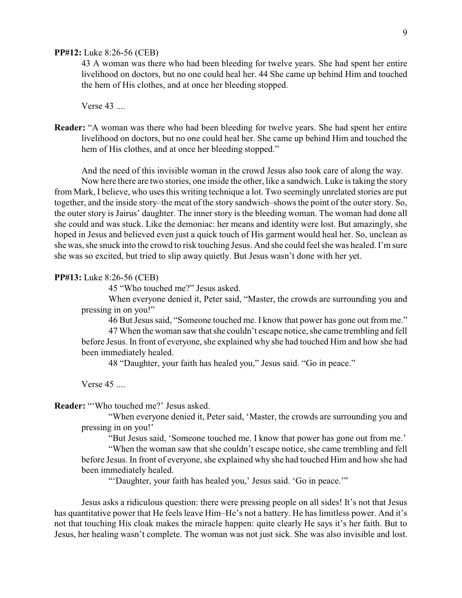### **PP#12:** Luke 8:26-56 (CEB)

43 A woman was there who had been bleeding for twelve years. She had spent her entire livelihood on doctors, but no one could heal her. 44 She came up behind Him and touched the hem of His clothes, and at once her bleeding stopped.

Verse 43 ....

**Reader:** "A woman was there who had been bleeding for twelve years. She had spent her entire livelihood on doctors, but no one could heal her. She came up behind Him and touched the hem of His clothes, and at once her bleeding stopped."

And the need of this invisible woman in the crowd Jesus also took care of along the way.

Now here there are two stories, one inside the other, like a sandwich. Luke is taking the story from Mark, I believe, who uses this writing technique a lot. Two seemingly unrelated stories are put together, and the inside story–the meat of the story sandwich–shows the point of the outer story. So, the outer story is Jairus' daughter. The inner story is the bleeding woman. The woman had done all she could and was stuck. Like the demoniac: her means and identity were lost. But amazingly, she hoped in Jesus and believed even just a quick touch of His garment would heal her. So, unclean as she was, she snuck into the crowd to risk touching Jesus. And she could feel she was healed. I'm sure she was so excited, but tried to slip away quietly. But Jesus wasn't done with her yet.

#### **PP#13:** Luke 8:26-56 (CEB)

45 "Who touched me?" Jesus asked.

When everyone denied it, Peter said, "Master, the crowds are surrounding you and pressing in on you!"

46 But Jesus said, "Someone touched me. I know that power has gone out from me."

47 When the woman saw that she couldn't escape notice, she came trembling and fell before Jesus. In front of everyone, she explained why she had touched Him and how she had been immediately healed.

48 "Daughter, your faith has healed you," Jesus said. "Go in peace."

Verse 45 ....

**Reader:** "'Who touched me?' Jesus asked.

"When everyone denied it, Peter said, 'Master, the crowds are surrounding you and pressing in on you!'

"But Jesus said, 'Someone touched me. I know that power has gone out from me.'

"When the woman saw that she couldn't escape notice, she came trembling and fell before Jesus. In front of everyone, she explained why she had touched Him and how she had been immediately healed.

"'Daughter, your faith has healed you,' Jesus said. 'Go in peace.'"

Jesus asks a ridiculous question: there were pressing people on all sides! It's not that Jesus has quantitative power that He feels leave Him–He's not a battery. He has limitless power. And it's not that touching His cloak makes the miracle happen: quite clearly He says it's her faith. But to Jesus, her healing wasn't complete. The woman was not just sick. She was also invisible and lost.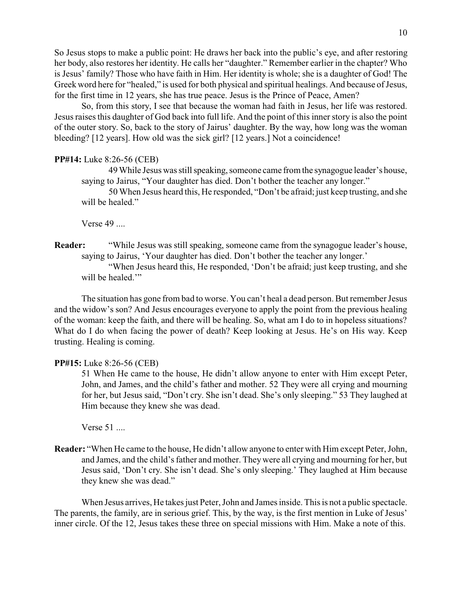So Jesus stops to make a public point: He draws her back into the public's eye, and after restoring her body, also restores her identity. He calls her "daughter." Remember earlier in the chapter? Who is Jesus' family? Those who have faith in Him. Her identity is whole; she is a daughter of God! The Greek word here for "healed," is used for both physical and spiritual healings. And because of Jesus, for the first time in 12 years, she has true peace. Jesus is the Prince of Peace, Amen?

So, from this story, I see that because the woman had faith in Jesus, her life was restored. Jesus raises this daughter of God back into full life. And the point of this inner story is also the point of the outer story. So, back to the story of Jairus' daughter. By the way, how long was the woman bleeding? [12 years]. How old was the sick girl? [12 years.] Not a coincidence!

### **PP#14:** Luke 8:26-56 (CEB)

49 While Jesus was still speaking, someone came from the synagogue leader's house, saying to Jairus, "Your daughter has died. Don't bother the teacher any longer."

50 When Jesus heard this, He responded, "Don't be afraid; just keep trusting, and she will be healed."

Verse 49 ....

**Reader:** "While Jesus was still speaking, someone came from the synagogue leader's house, saying to Jairus, 'Your daughter has died. Don't bother the teacher any longer.'

"When Jesus heard this, He responded, 'Don't be afraid; just keep trusting, and she will be healed."

The situation has gone from bad to worse. You can't heal a dead person. But remember Jesus and the widow's son? And Jesus encourages everyone to apply the point from the previous healing of the woman: keep the faith, and there will be healing. So, what am I do to in hopeless situations? What do I do when facing the power of death? Keep looking at Jesus. He's on His way. Keep trusting. Healing is coming.

### **PP#15:** Luke 8:26-56 (CEB)

51 When He came to the house, He didn't allow anyone to enter with Him except Peter, John, and James, and the child's father and mother. 52 They were all crying and mourning for her, but Jesus said, "Don't cry. She isn't dead. She's only sleeping." 53 They laughed at Him because they knew she was dead.

Verse 51 ....

**Reader:** "When He came to the house, He didn't allow anyone to enter with Him except Peter, John, and James, and the child's father and mother. They were all crying and mourning for her, but Jesus said, 'Don't cry. She isn't dead. She's only sleeping.' They laughed at Him because they knew she was dead."

When Jesus arrives, He takes just Peter, John and James inside. This is not a public spectacle. The parents, the family, are in serious grief. This, by the way, is the first mention in Luke of Jesus' inner circle. Of the 12, Jesus takes these three on special missions with Him. Make a note of this.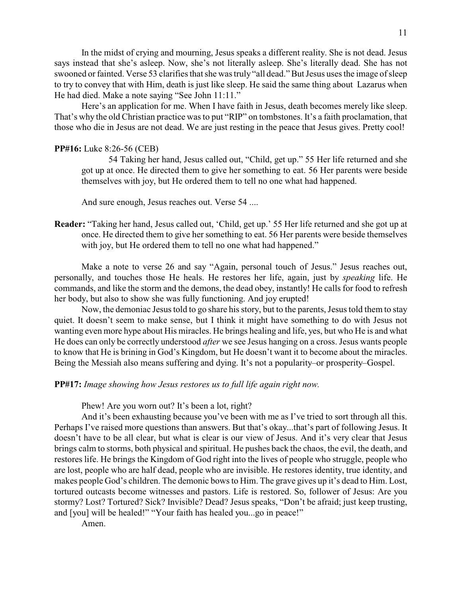In the midst of crying and mourning, Jesus speaks a different reality. She is not dead. Jesus says instead that she's asleep. Now, she's not literally asleep. She's literally dead. She has not swooned or fainted. Verse 53 clarifies that she was truly "all dead." But Jesus uses the image of sleep to try to convey that with Him, death is just like sleep. He said the same thing about Lazarus when He had died. Make a note saying "See John 11:11."

Here's an application for me. When I have faith in Jesus, death becomes merely like sleep. That's why the old Christian practice was to put "RIP" on tombstones. It's a faith proclamation, that those who die in Jesus are not dead. We are just resting in the peace that Jesus gives. Pretty cool!

### **PP#16:** Luke 8:26-56 (CEB)

54 Taking her hand, Jesus called out, "Child, get up." 55 Her life returned and she got up at once. He directed them to give her something to eat. 56 Her parents were beside themselves with joy, but He ordered them to tell no one what had happened.

And sure enough, Jesus reaches out. Verse 54 ....

**Reader:** "Taking her hand, Jesus called out, 'Child, get up.' 55 Her life returned and she got up at once. He directed them to give her something to eat. 56 Her parents were beside themselves with joy, but He ordered them to tell no one what had happened."

Make a note to verse 26 and say "Again, personal touch of Jesus." Jesus reaches out, personally, and touches those He heals. He restores her life, again, just by *speaking* life. He commands, and like the storm and the demons, the dead obey, instantly! He calls for food to refresh her body, but also to show she was fully functioning. And joy erupted!

Now, the demoniac Jesus told to go share his story, but to the parents, Jesus told them to stay quiet. It doesn't seem to make sense, but I think it might have something to do with Jesus not wanting even more hype about His miracles. He brings healing and life, yes, but who He is and what He does can only be correctly understood *after* we see Jesus hanging on a cross. Jesus wants people to know that He is brining in God's Kingdom, but He doesn't want it to become about the miracles. Being the Messiah also means suffering and dying. It's not a popularity–or prosperity–Gospel.

**PP#17:** *Image showing how Jesus restores us to full life again right now.*

Phew! Are you worn out? It's been a lot, right?

And it's been exhausting because you've been with me as I've tried to sort through all this. Perhaps I've raised more questions than answers. But that's okay...that's part of following Jesus. It doesn't have to be all clear, but what is clear is our view of Jesus. And it's very clear that Jesus brings calm to storms, both physical and spiritual. He pushes back the chaos, the evil, the death, and restores life. He brings the Kingdom of God right into the lives of people who struggle, people who are lost, people who are half dead, people who are invisible. He restores identity, true identity, and makes people God's children. The demonic bows to Him. The grave gives up it's dead to Him. Lost, tortured outcasts become witnesses and pastors. Life is restored. So, follower of Jesus: Are you stormy? Lost? Tortured? Sick? Invisible? Dead? Jesus speaks, "Don't be afraid; just keep trusting, and [you] will be healed!" "Your faith has healed you...go in peace!"

Amen.